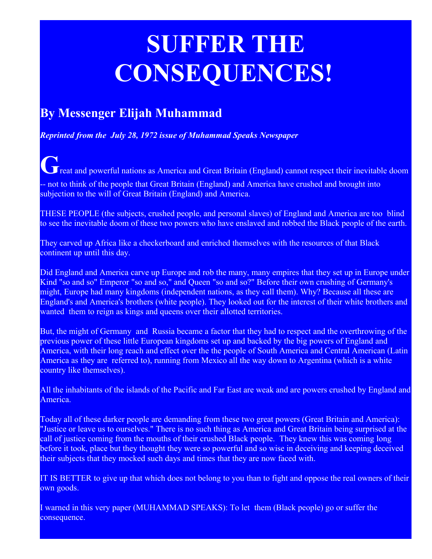## **SUFFER THE CONSEQUENCES!**

## **By Messenger Elijah Muhammad**

*Reprinted from the July 28, 1972 issue of Muhammad Speaks Newspaper*

**G**reat and powerful nations as America and Great Britain (England) cannot respect their inevitable doom - not to think of the people that Great Britain (England) and America have crushed and brought into subjection to the will of Great Britain (England) and America.

THESE PEOPLE (the subjects, crushed people, and personal slaves) of England and America are too blind to see the inevitable doom of these two powers who have enslaved and robbed the Black people of the earth.

They carved up Africa like a checkerboard and enriched themselves with the resources of that Black continent up until this day.

Did England and America carve up Europe and rob the many, many empires that they set up in Europe under Kind "so and so" Emperor "so and so," and Queen "so and so?" Before their own crushing of Germany's might, Europe had many kingdoms (independent nations, as they call them). Why? Because all these are England's and America's brothers (white people). They looked out for the interest of their white brothers and wanted them to reign as kings and queens over their allotted territories.

But, the might of Germany and Russia became a factor that they had to respect and the overthrowing of the previous power of these little European kingdoms set up and backed by the big powers of England and America, with their long reach and effect over the the people of South America and Central American (Latin America as they are referred to), running from Mexico all the way down to Argentina (which is a white country like themselves).

All the inhabitants of the islands of the Pacific and Far East are weak and are powers crushed by England and America.

Today all of these darker people are demanding from these two great powers (Great Britain and America): "Justice or leave us to ourselves." There is no such thing as America and Great Britain being surprised at the call of justice coming from the mouths of their crushed Black people. They knew this was coming long before it took, place but they thought they were so powerful and so wise in deceiving and keeping deceived their subjects that they mocked such days and times that they are now faced with.

IT IS BETTER to give up that which does not belong to you than to fight and oppose the real owners of their own goods.

I warned in this very paper (MUHAMMAD SPEAKS): To let them (Black people) go or suffer the consequence.